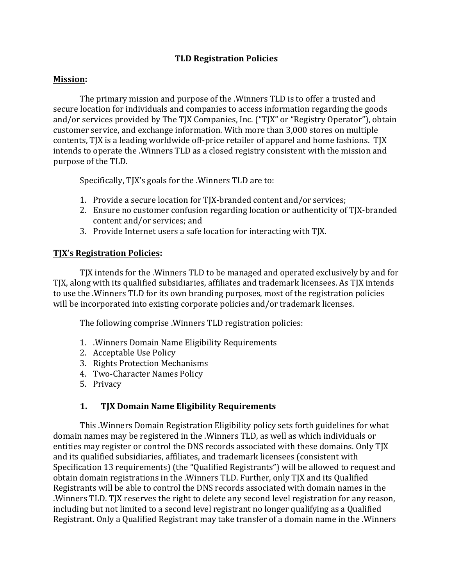### **TLD Registration Policies**

#### **Mission:**

The primary mission and purpose of the .Winners TLD is to offer a trusted and secure location for individuals and companies to access information regarding the goods and/or services provided by The TJX Companies, Inc. ("TJX" or "Registry Operator"), obtain customer service, and exchange information. With more than 3,000 stores on multiple contents, TJX is a leading worldwide off-price retailer of apparel and home fashions. TJX intends to operate the .Winners TLD as a closed registry consistent with the mission and purpose of the TLD.

Specifically, TJX's goals for the .Winners TLD are to:

- 1. Provide a secure location for TJX-branded content and/or services;
- 2. Ensure no customer confusion regarding location or authenticity of TJX-branded content and/or services; and
- 3. Provide Internet users a safe location for interacting with TJX.

#### **TJX's Registration Policies:**

TJX intends for the .Winners TLD to be managed and operated exclusively by and for TJX, along with its qualified subsidiaries, affiliates and trademark licensees. As TJX intends to use the .Winners TLD for its own branding purposes, most of the registration policies will be incorporated into existing corporate policies and/or trademark licenses.

The following comprise .Winners TLD registration policies:

- 1. . Winners Domain Name Eligibility Requirements
- 2. Acceptable Use Policy
- 3. Rights Protection Mechanisms
- 4. Two-Character Names Policy
- 5. Privacy

### 1. TJX Domain Name Eligibility Requirements

This . Winners Domain Registration Eligibility policy sets forth guidelines for what domain names may be registered in the .Winners TLD, as well as which individuals or entities may register or control the DNS records associated with these domains. Only TJX and its qualified subsidiaries, affiliates, and trademark licensees (consistent with Specification 13 requirements) (the "Qualified Registrants") will be allowed to request and obtain domain registrations in the .Winners TLD. Further, only TJX and its Qualified Registrants will be able to control the DNS records associated with domain names in the .Winners TLD. TJX reserves the right to delete any second level registration for any reason, including but not limited to a second level registrant no longer qualifying as a Qualified Registrant. Only a Qualified Registrant may take transfer of a domain name in the .Winners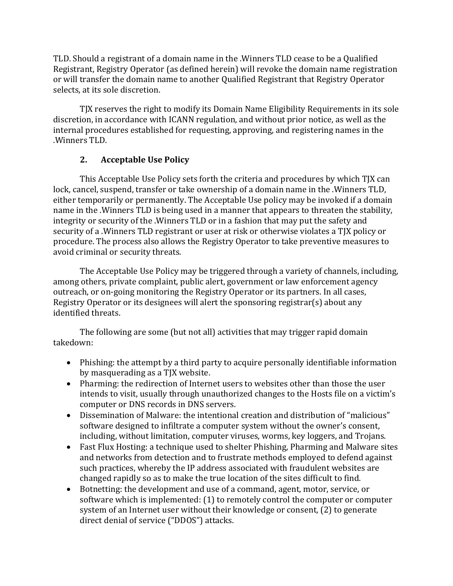TLD. Should a registrant of a domain name in the .Winners TLD cease to be a Qualified Registrant, Registry Operator (as defined herein) will revoke the domain name registration or will transfer the domain name to another Qualified Registrant that Registry Operator selects, at its sole discretion.

TJX reserves the right to modify its Domain Name Eligibility Requirements in its sole discretion, in accordance with ICANN regulation, and without prior notice, as well as the internal procedures established for requesting, approving, and registering names in the .Winners TLD. 

# **2.** Acceptable Use Policy

This Acceptable Use Policy sets forth the criteria and procedures by which TJX can lock, cancel, suspend, transfer or take ownership of a domain name in the .Winners TLD, either temporarily or permanently. The Acceptable Use policy may be invoked if a domain name in the .Winners TLD is being used in a manner that appears to threaten the stability, integrity or security of the .Winners TLD or in a fashion that may put the safety and security of a .Winners TLD registrant or user at risk or otherwise violates a TJX policy or procedure. The process also allows the Registry Operator to take preventive measures to avoid criminal or security threats.

The Acceptable Use Policy may be triggered through a variety of channels, including, among others, private complaint, public alert, government or law enforcement agency outreach, or on-going monitoring the Registry Operator or its partners. In all cases, Registry Operator or its designees will alert the sponsoring registrar(s) about any identified threats.

The following are some (but not all) activities that may trigger rapid domain takedown: 

- Phishing: the attempt by a third party to acquire personally identifiable information by masquerading as a TJX website.
- Pharming: the redirection of Internet users to websites other than those the user intends to visit, usually through unauthorized changes to the Hosts file on a victim's computer or DNS records in DNS servers.
- Dissemination of Malware: the intentional creation and distribution of "malicious" software designed to infiltrate a computer system without the owner's consent, including, without limitation, computer viruses, worms, key loggers, and Trojans.
- Fast Flux Hosting: a technique used to shelter Phishing, Pharming and Malware sites and networks from detection and to frustrate methods employed to defend against such practices, whereby the IP address associated with fraudulent websites are changed rapidly so as to make the true location of the sites difficult to find.
- Botnetting: the development and use of a command, agent, motor, service, or software which is implemented:  $(1)$  to remotely control the computer or computer system of an Internet user without their knowledge or consent, (2) to generate direct denial of service ("DDOS") attacks.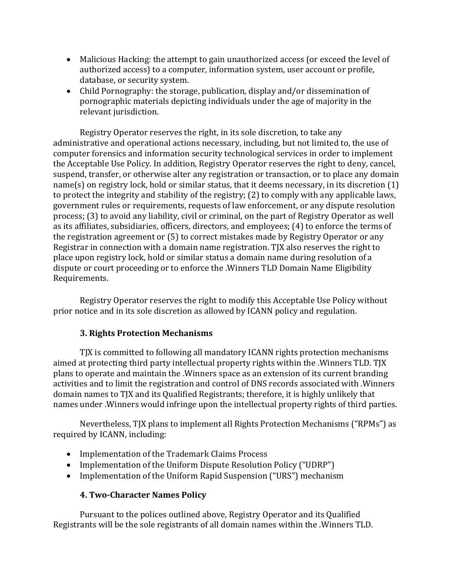- Malicious Hacking: the attempt to gain unauthorized access (or exceed the level of authorized access) to a computer, information system, user account or profile, database, or security system.
- Child Pornography: the storage, publication, display and/or dissemination of pornographic materials depicting individuals under the age of majority in the relevant jurisdiction.

Registry Operator reserves the right, in its sole discretion, to take any administrative and operational actions necessary, including, but not limited to, the use of computer forensics and information security technological services in order to implement the Acceptable Use Policy. In addition, Registry Operator reserves the right to deny, cancel, suspend, transfer, or otherwise alter any registration or transaction, or to place any domain  $name(s)$  on registry lock, hold or similar status, that it deems necessary, in its discretion  $(1)$ to protect the integrity and stability of the registry;  $(2)$  to comply with any applicable laws, government rules or requirements, requests of law enforcement, or any dispute resolution process; (3) to avoid any liability, civil or criminal, on the part of Registry Operator as well as its affiliates, subsidiaries, officers, directors, and employees; (4) to enforce the terms of the registration agreement or  $(5)$  to correct mistakes made by Registry Operator or any Registrar in connection with a domain name registration. TJX also reserves the right to place upon registry lock, hold or similar status a domain name during resolution of a dispute or court proceeding or to enforce the .Winners TLD Domain Name Eligibility Requirements.

Registry Operator reserves the right to modify this Acceptable Use Policy without prior notice and in its sole discretion as allowed by ICANN policy and regulation.

# **3. Rights Protection Mechanisms**

TJX is committed to following all mandatory ICANN rights protection mechanisms aimed at protecting third party intellectual property rights within the .Winners TLD. TJX plans to operate and maintain the .Winners space as an extension of its current branding activities and to limit the registration and control of DNS records associated with .Winners domain names to TJX and its Qualified Registrants; therefore, it is highly unlikely that names under . Winners would infringe upon the intellectual property rights of third parties.

Nevertheless, TJX plans to implement all Rights Protection Mechanisms ("RPMs") as required by ICANN, including:

- Implementation of the Trademark Claims Process
- Implementation of the Uniform Dispute Resolution Policy ("UDRP")
- Implementation of the Uniform Rapid Suspension ("URS") mechanism

### **4. Two-Character Names Policy**

Pursuant to the polices outlined above, Registry Operator and its Qualified Registrants will be the sole registrants of all domain names within the .Winners TLD.